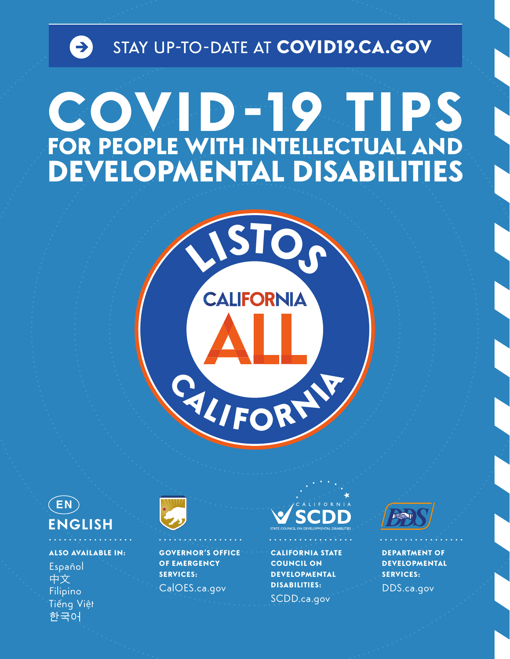





**ALSO AVAILABLE IN:** Español 中文 Filipino Tiếng Việt 한국어



**GOVERNOR'S OFFICE OF EMERGENCY SERVICES:** CalOES.ca.gov



**CALIFORNIA STATE COUNCIL ON DEVELOPMENTAL DISABILITIES:** SCDD.ca.gov



**DEPARTMENT OF DEVELOPMENTAL SERVICES:** DDS.ca.gov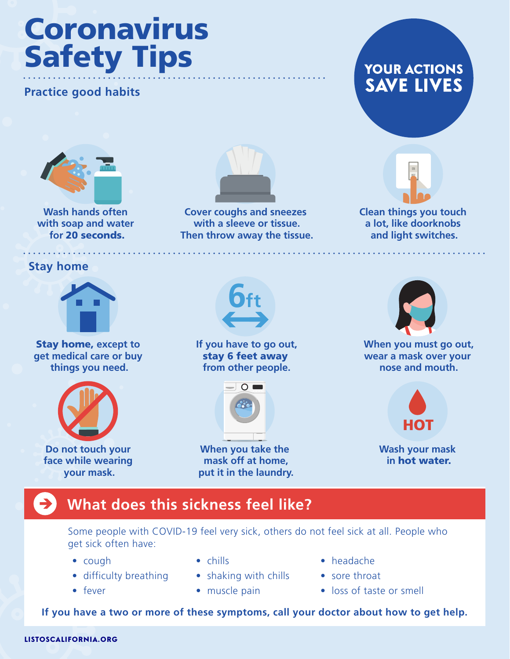# Coronavirus Safety Tips

## **Practice good habits**



Wash hands often **Cover coughs and sneezes** Clean things you touch with soap and water **with a sleeve or tissue.** A lot, like doorknobs **for** 20 seconds. **Then throw away the tissue. and light switches.** 



**YOUR ACTIONS SAVE LIVES** 



**Stay home** 



Stay home, **except to get medical care or buy things you need.** 



**Do not touch your face while wearing your mask.** 



**If you have to go out,**  stay 6 feet away **from other people.** 



**When you take the mask off at home, put it in the laundry.** 



**When you must go out, wear a mask over your nose and mouth.** 



**Wash your mask in** hot water.

# **What does this sickness feel like?**

Some people with COVID-19 feel very sick, others do not feel sick at all. People who get sick often have:

- 
- difficulty breathing shaking with chills sore throat
- 
- 
- 
- cough chills chills headache
	-
- fever muscle pain loss of taste or smell

**If you have a two or more of these symptoms, call your doctor about how to get help.**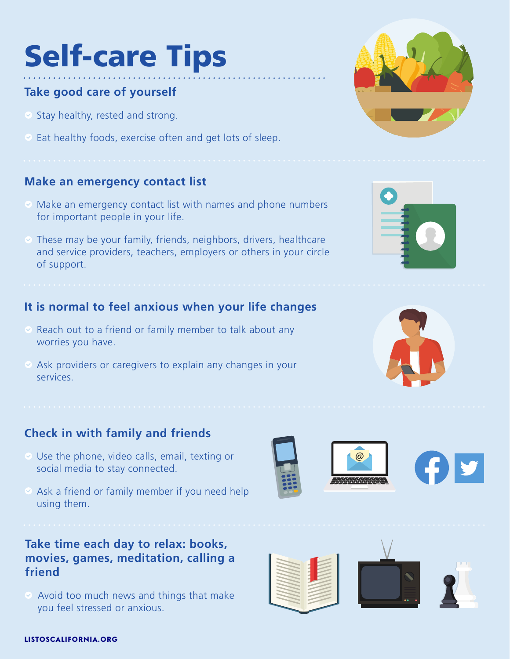# Self-care Tips

# **Take good care of yourself**

- $\bullet$  Stay healthy, rested and strong.
- $\heartsuit$  Eat healthy foods, exercise often and get lots of sleep.

#### **Make an emergency contact list**

- $\heartsuit$  Make an emergency contact list with names and phone numbers for important people in your life.
- $\odot$  These may be your family, friends, neighbors, drivers, healthcare and service providers, teachers, employers or others in your circle of support.

#### **It is normal to feel anxious when your life changes**

- $\heartsuit$  Reach out to a friend or family member to talk about any worries you have.
- $\otimes$  Ask providers or caregivers to explain any changes in your services.

#### **Check in with family and friends**

- Use the phone, video calls, email, texting or social media to stay connected.
- $\oslash$  Ask a friend or family member if you need help using them.

#### **Take time each day to relax: books, movies, games, meditation, calling a friend**

Avoid too much news and things that make you feel stressed or anxious.













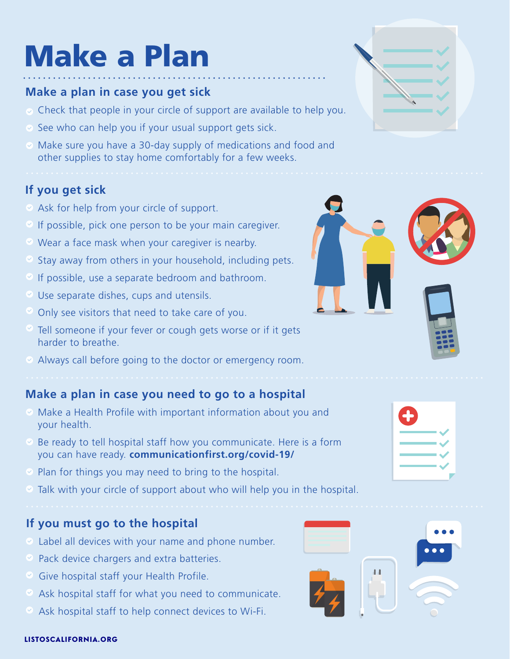# Make a Plan

#### **Make a plan in case you get sick**

- $\odot$  Check that people in your circle of support are available to help you.
- $\heartsuit$  See who can help you if your usual support gets sick.
- Make sure you have a 30-day supply of medications and food and other supplies to stay home comfortably for a few weeks.

## **If you get sick**

- $\otimes$  Ask for help from your circle of support.
- $\circ$  If possible, pick one person to be your main caregiver.
- Wear a face mask when your caregiver is nearby.
- $\odot$  Stay away from others in your household, including pets.
- $\odot$  If possible, use a separate bedroom and bathroom.
- Use separate dishes, cups and utensils.
- Only see visitors that need to take care of you.
- $\heartsuit$  Tell someone if your fever or cough gets worse or if it gets harder to breathe.
- Always call before going to the doctor or emergency room.

## **Make a plan in case you need to go to a hospital**

- $\odot$  Make a Health Profile with important information about you and your health.
- $\heartsuit$  Be ready to tell hospital staff how you communicate. Here is a form you can have ready. **[communicationfirst.org/covid-19/](https://communicationfirst.org/covid-19)**
- $\odot$  Plan for things you may need to bring to the hospital.
- Talk with your circle of support about who will help you in the hospital.

#### **If you must go to the hospital**

- $\odot$  Label all devices with your name and phone number.
- $\bullet$  Pack device chargers and extra batteries.
- $\circ$  Give hospital staff your Health Profile.
- $\bullet$  Ask hospital staff for what you need to communicate.
- Ask hospital staff to help connect devices to Wi-Fi.





| í |  |
|---|--|
|   |  |
|   |  |
|   |  |
|   |  |
|   |  |